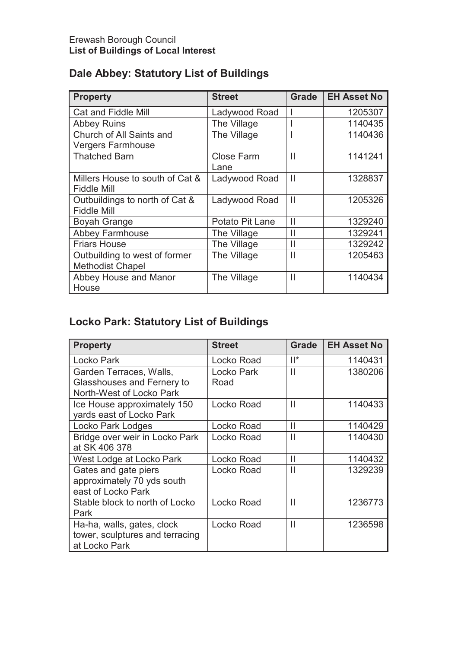| <b>Property</b>                 | <b>Street</b>     | <b>Grade</b>  | <b>EH Asset No</b> |
|---------------------------------|-------------------|---------------|--------------------|
| Cat and Fiddle Mill             | Ladywood Road     |               | 1205307            |
| <b>Abbey Ruins</b>              | The Village       |               | 1140435            |
| Church of All Saints and        | The Village       |               | 1140436            |
| <b>Vergers Farmhouse</b>        |                   |               |                    |
| <b>Thatched Barn</b>            | <b>Close Farm</b> | $\mathbf{I}$  | 1141241            |
|                                 | Lane              |               |                    |
| Millers House to south of Cat & | Ladywood Road     | $\mathbf{I}$  | 1328837            |
| <b>Fiddle Mill</b>              |                   |               |                    |
| Outbuildings to north of Cat &  | Ladywood Road     | $\mathbf{I}$  | 1205326            |
| <b>Fiddle Mill</b>              |                   |               |                    |
| <b>Boyah Grange</b>             | Potato Pit Lane   | $\mathbf{  }$ | 1329240            |
| <b>Abbey Farmhouse</b>          | The Village       | Ш             | 1329241            |
| <b>Friars House</b>             | The Village       | $\mathbf{I}$  | 1329242            |
| Outbuilding to west of former   | The Village       | $\mathsf{II}$ | 1205463            |
| <b>Methodist Chapel</b>         |                   |               |                    |
| Abbey House and Manor           | The Village       | $\mathbf{I}$  | 1140434            |
| House                           |                   |               |                    |

# **Dale Abbey: Statutory List of Buildings**

# **Locko Park: Statutory List of Buildings**

| <b>Property</b>                                                                   | <b>Street</b>      | <b>Grade</b>  | <b>EH Asset No</b> |
|-----------------------------------------------------------------------------------|--------------------|---------------|--------------------|
| Locko Park                                                                        | Locko Road         | $  ^*$        | 1140431            |
| Garden Terraces, Walls,<br>Glasshouses and Fernery to<br>North-West of Locko Park | Locko Park<br>Road | $\mathbf{I}$  | 1380206            |
| Ice House approximately 150<br>yards east of Locko Park                           | Locko Road         | $\mathbf{I}$  | 1140433            |
| Locko Park Lodges                                                                 | Locko Road         | $\mathbf{I}$  | 1140429            |
| Bridge over weir in Locko Park<br>at SK 406 378                                   | Locko Road         | $\mathbf{I}$  | 1140430            |
| West Lodge at Locko Park                                                          | Locko Road         | $\mathbf{  }$ | 1140432            |
| Gates and gate piers<br>approximately 70 yds south<br>east of Locko Park          | Locko Road         | $\mathbf{I}$  | 1329239            |
| Stable block to north of Locko<br>Park                                            | Locko Road         | $\mathbf{I}$  | 1236773            |
| Ha-ha, walls, gates, clock<br>tower, sculptures and terracing<br>at Locko Park    | Locko Road         | $\mathbf{I}$  | 1236598            |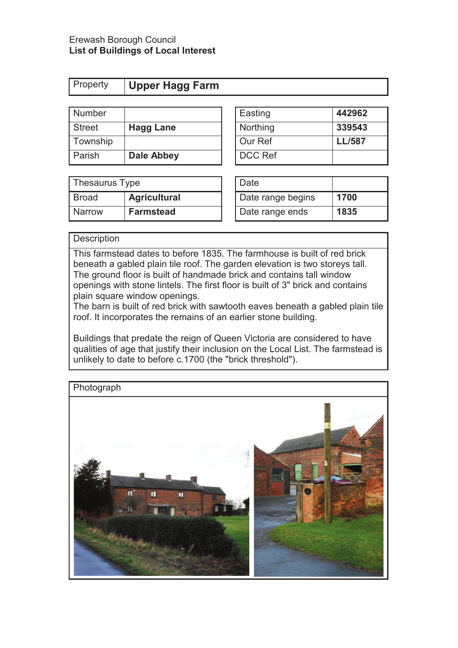| <b>Property Upper Hagg Farm</b> |  |
|---------------------------------|--|
|---------------------------------|--|

| Number        |                  | Easting        | 442962        |
|---------------|------------------|----------------|---------------|
| <b>Street</b> | <b>Hagg Lane</b> | Northing       | 339543        |
| Township      |                  | Our Ref        | <b>LL/587</b> |
| Parish        | Dale Abbey       | <b>DCC Ref</b> |               |

| Easting        | 442962        |
|----------------|---------------|
| Northing       | 339543        |
| Our Ref        | <b>LL/587</b> |
| <b>DCC Ref</b> |               |

| Thesaurus Type |                     | Date              |      |
|----------------|---------------------|-------------------|------|
| <b>Broad</b>   | <b>Agricultural</b> | Date range begins | 1700 |
| <b>Narrow</b>  | <b>Farmstead</b>    | Date range ends   | 1835 |

| Date              |      |
|-------------------|------|
| Date range begins | 1700 |
| Date range ends   | 1835 |

### **Description**

This farmstead dates to before 1835. The farmhouse is built of red brick beneath a gabled plain tile roof. The garden elevation is two storeys tall. The ground floor is built of handmade brick and contains tall window openings with stone lintels. The first floor is built of 3" brick and contains plain square window openings.

The barn is built of red brick with sawtooth eaves beneath a gabled plain tile roof. It incorporates the remains of an earlier stone building.

Buildings that predate the reign of Queen Victoria are considered to have qualities of age that justify their inclusion on the Local List. The farmstead is unlikely to date to before c.1700 (the "brick threshold").

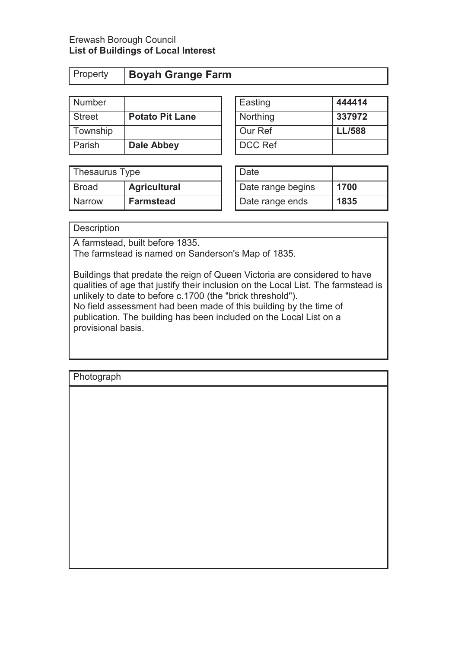| Property |
|----------|
|          |

# Property **Boyah Grange Farm**

| Number        |                        | Easting        | 444414        |
|---------------|------------------------|----------------|---------------|
| <b>Street</b> | <b>Potato Pit Lane</b> | Northing       | 337972        |
| Township      |                        | Our Ref        | <b>LL/588</b> |
| Parish        | <b>Dale Abbey</b>      | <b>DCC Ref</b> |               |

| Thesaurus Type |                     | Date              |      |
|----------------|---------------------|-------------------|------|
| <b>Broad</b>   | <b>Agricultural</b> | Date range begins | 1700 |
| <b>Narrow</b>  | <b>Farmstead</b>    | Date range ends   | 1835 |

| Easting  | 444414        |
|----------|---------------|
| Northing | 337972        |
| Our Ref  | <b>LL/588</b> |
| DCC Ref  |               |

| Date              |      |
|-------------------|------|
| Date range begins | 1700 |
| Date range ends   | 1835 |

### **Description**

A farmstead, built before 1835.

The farmstead is named on Sanderson's Map of 1835.

Buildings that predate the reign of Queen Victoria are considered to have qualities of age that justify their inclusion on the Local List. The farmstead is unlikely to date to before c.1700 (the "brick threshold"). No field assessment had been made of this building by the time of publication. The building has been included on the Local List on a provisional basis.

| Photograph |  |  |  |
|------------|--|--|--|
|            |  |  |  |
|            |  |  |  |
|            |  |  |  |
|            |  |  |  |
|            |  |  |  |
|            |  |  |  |
|            |  |  |  |
|            |  |  |  |
|            |  |  |  |
|            |  |  |  |
|            |  |  |  |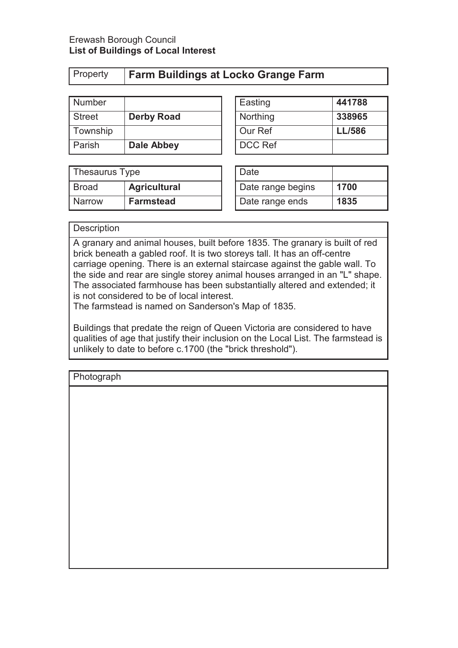## ty **Farm Buildings at Locko Grange Farm**

| Number        |                   | Easting        | 441788        |
|---------------|-------------------|----------------|---------------|
| <b>Street</b> | <b>Derby Road</b> | Northing       | 338965        |
| Township      |                   | Our Ref        | <b>LL/586</b> |
| Parish        | Dale Abbey        | <b>DCC Ref</b> |               |

| Thesaurus Type |                     | Date              |      |
|----------------|---------------------|-------------------|------|
| Broad          | <b>Agricultural</b> | Date range begins | 1700 |
| <b>Narrow</b>  | <b>Farmstead</b>    | Date range ends   | 1835 |

| Easting  | 441788        |
|----------|---------------|
| Northing | 338965        |
| Our Ref  | <b>LL/586</b> |
| DCC Ref  |               |

| Date              |      |
|-------------------|------|
| Date range begins | 1700 |
| Date range ends   | 1835 |

### **Description**

A granary and animal houses, built before 1835. The granary is built of red brick beneath a gabled roof. It is two storeys tall. It has an off-centre carriage opening. There is an external staircase against the gable wall. To the side and rear are single storey animal houses arranged in an "L" shape. The associated farmhouse has been substantially altered and extended; it is not considered to be of local interest.

The farmstead is named on Sanderson's Map of 1835.

Buildings that predate the reign of Queen Victoria are considered to have qualities of age that justify their inclusion on the Local List. The farmstead is unlikely to date to before c.1700 (the "brick threshold").

| Photograph |  |  |
|------------|--|--|
|            |  |  |
|            |  |  |
|            |  |  |
|            |  |  |
|            |  |  |
|            |  |  |
|            |  |  |
|            |  |  |
|            |  |  |
|            |  |  |
|            |  |  |
|            |  |  |
|            |  |  |
|            |  |  |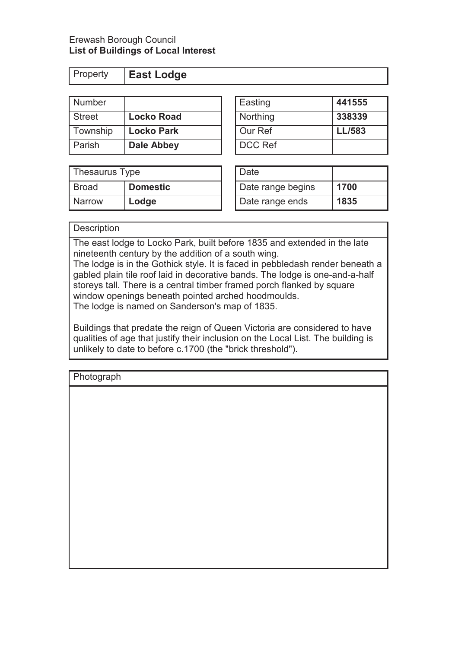Property **East Lodge** 

| <b>Number</b> |                   | Easting  | 441555        |
|---------------|-------------------|----------|---------------|
| <b>Street</b> | <b>Locko Road</b> | Northing | 338339        |
| Township      | <b>Locko Park</b> | Our Ref  | <b>LL/583</b> |
| Parish        | <b>Dale Abbey</b> | DCC Ref  |               |

| Thesaurus Type |                 | Date              |      |
|----------------|-----------------|-------------------|------|
| <b>Broad</b>   | <b>Domestic</b> | Date range begins | 1700 |
| <b>Narrow</b>  | Lodge           | Date range ends   | 1835 |

| Easting  | 441555        |
|----------|---------------|
| Northing | 338339        |
| Our Ref  | <b>LL/583</b> |
| DCC Ref  |               |

| Date              |      |
|-------------------|------|
| Date range begins | 1700 |
| Date range ends   | 1835 |

### **Description**

The east lodge to Locko Park, built before 1835 and extended in the late nineteenth century by the addition of a south wing.

The lodge is in the Gothick style. It is faced in pebbledash render beneath a gabled plain tile roof laid in decorative bands. The lodge is one-and-a-half storeys tall. There is a central timber framed porch flanked by square window openings beneath pointed arched hoodmoulds. The lodge is named on Sanderson's map of 1835.

Buildings that predate the reign of Queen Victoria are considered to have qualities of age that justify their inclusion on the Local List. The building is unlikely to date to before c.1700 (the "brick threshold").

| Photograph |  |
|------------|--|
|            |  |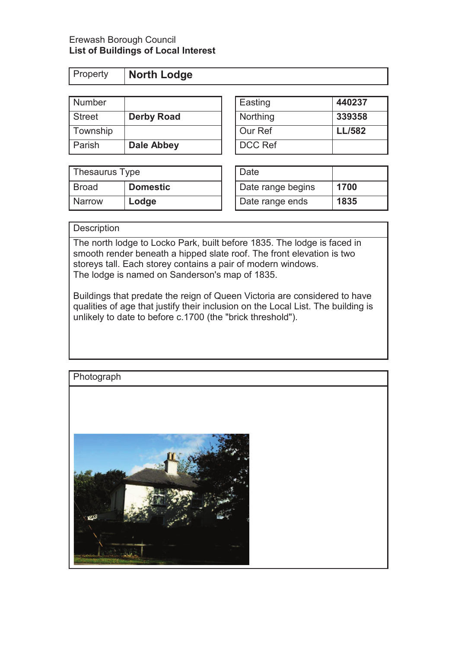| Property | North Lodge |
|----------|-------------|
|          |             |

| Number        |                   | Easting        | 440237        |
|---------------|-------------------|----------------|---------------|
| <b>Street</b> | <b>Derby Road</b> | Northing       | 339358        |
| Township      |                   | Our Ref        | <b>LL/582</b> |
| Parish        | Dale Abbey        | <b>DCC Ref</b> |               |

| Thesaurus Type |                 | Date              |      |
|----------------|-----------------|-------------------|------|
| Broad          | <b>Domestic</b> | Date range begins | 1700 |
| <b>Narrow</b>  | Lodge           | Date range ends   | 1835 |

| Easting  | 440237        |
|----------|---------------|
| Northing | 339358        |
| Our Ref  | <b>LL/582</b> |
| DCC Ref  |               |

| Date              |      |
|-------------------|------|
| Date range begins | 1700 |
| Date range ends   | 1835 |

### **Description**

The north lodge to Locko Park, built before 1835. The lodge is faced in smooth render beneath a hipped slate roof. The front elevation is two storeys tall. Each storey contains a pair of modern windows. The lodge is named on Sanderson's map of 1835.

Buildings that predate the reign of Queen Victoria are considered to have qualities of age that justify their inclusion on the Local List. The building is unlikely to date to before c.1700 (the "brick threshold").

### **Photograph**

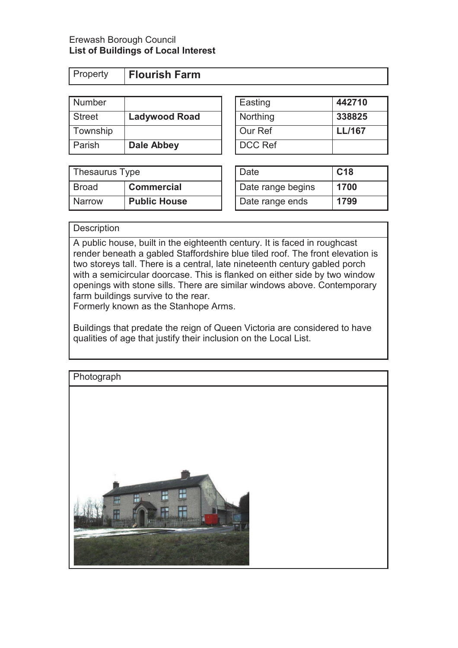| Property | <b>Flourish Farm</b> |
|----------|----------------------|
|          |                      |

| Number        |                      | Easting        | 442710        |
|---------------|----------------------|----------------|---------------|
| <b>Street</b> | <b>Ladywood Road</b> | Northing       | 338825        |
| Township      |                      | Our Ref        | <b>LL/167</b> |
| Parish        | Dale Abbey           | <b>DCC Ref</b> |               |

| 338825        |
|---------------|
| <b>LL/167</b> |
|               |
|               |

| Thesaurus Type |                     | ' Date            | C <sub>18</sub> |
|----------------|---------------------|-------------------|-----------------|
| Broad          | <b>Commercial</b>   | Date range begins | 1700            |
| <b>Narrow</b>  | <b>Public House</b> | Date range ends   | 1799            |

| Date              | C <sub>18</sub> |
|-------------------|-----------------|
| Date range begins | 1700            |
| Date range ends   | 1799            |

### **Description**

A public house, built in the eighteenth century. It is faced in roughcast render beneath a gabled Staffordshire blue tiled roof. The front elevation is two storeys tall. There is a central, late nineteenth century gabled porch with a semicircular doorcase. This is flanked on either side by two window openings with stone sills. There are similar windows above. Contemporary farm buildings survive to the rear.

Formerly known as the Stanhope Arms.

Buildings that predate the reign of Queen Victoria are considered to have qualities of age that justify their inclusion on the Local List.

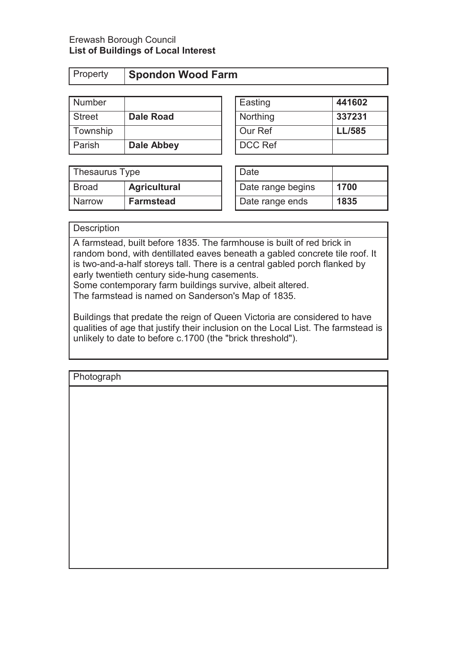| Property |  |
|----------|--|
|----------|--|

# **Spondon Wood Farm**

| Number        |                   | Easting        | 441602        |
|---------------|-------------------|----------------|---------------|
| <b>Street</b> | <b>Dale Road</b>  | Northing       | 337231        |
| Township      |                   | Our Ref        | <b>LL/585</b> |
| Parish        | <b>Dale Abbey</b> | <b>DCC Ref</b> |               |

| Thesaurus Type |                     | Date              |      |
|----------------|---------------------|-------------------|------|
| Broad          | <b>Agricultural</b> | Date range begins | 1700 |
| <b>Narrow</b>  | <b>Farmstead</b>    | Date range ends   | 1835 |

| Easting  | 441602        |
|----------|---------------|
| Northing | 337231        |
| Our Ref  | <b>LL/585</b> |
| DCC Ref  |               |

| Date              |      |
|-------------------|------|
| Date range begins | 1700 |
| Date range ends   | 1835 |

### **Description**

A farmstead, built before 1835. The farmhouse is built of red brick in random bond, with dentillated eaves beneath a gabled concrete tile roof. It is two-and-a-half storeys tall. There is a central gabled porch flanked by early twentieth century side-hung casements. Some contemporary farm buildings survive, albeit altered.

The farmstead is named on Sanderson's Map of 1835.

Buildings that predate the reign of Queen Victoria are considered to have qualities of age that justify their inclusion on the Local List. The farmstead is unlikely to date to before c.1700 (the "brick threshold").

| Photograph |  |  |
|------------|--|--|
|            |  |  |
|            |  |  |
|            |  |  |
|            |  |  |
|            |  |  |
|            |  |  |
|            |  |  |
|            |  |  |
|            |  |  |
|            |  |  |